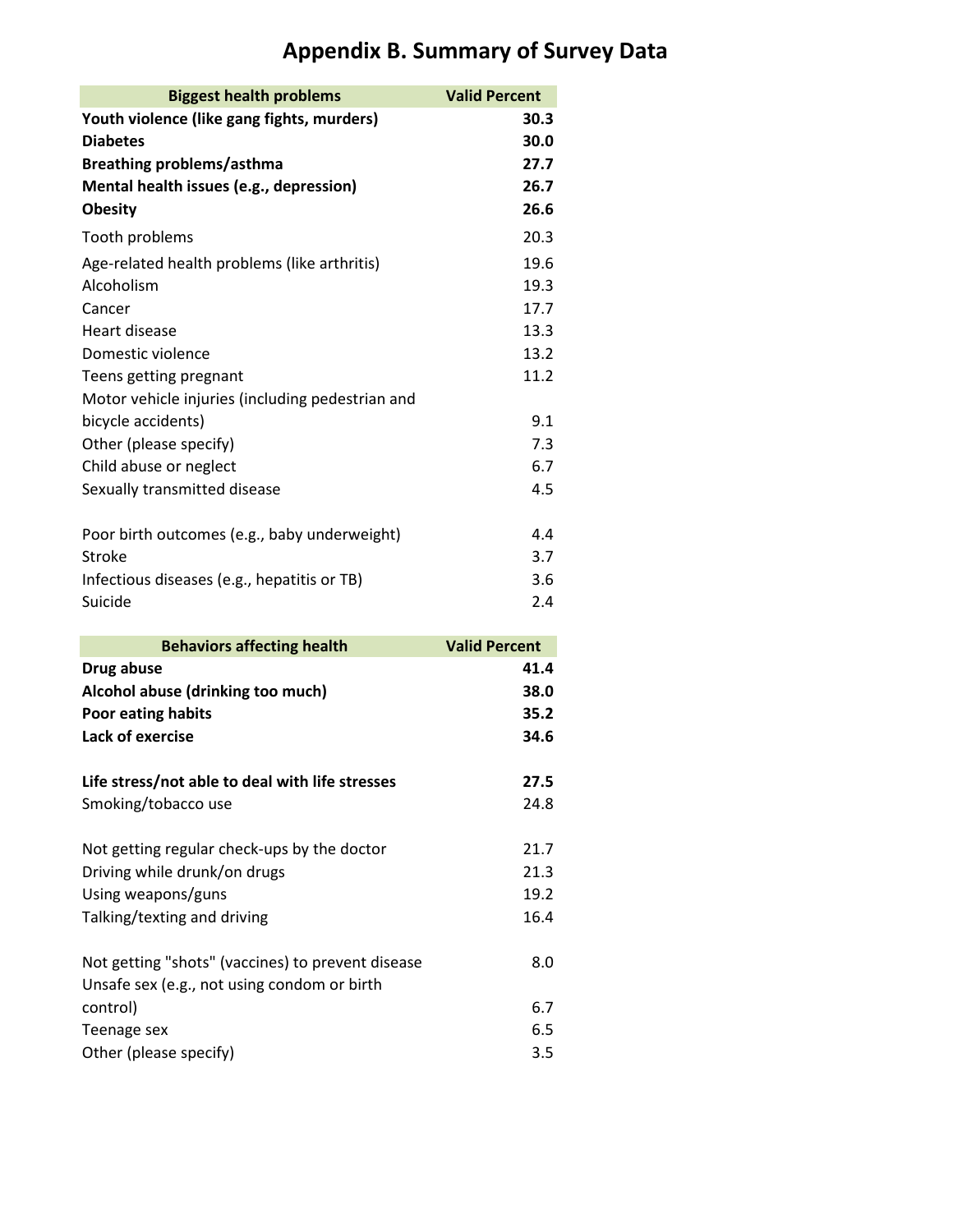| <b>Biggest health problems</b>                    | <b>Valid Percent</b> |
|---------------------------------------------------|----------------------|
| Youth violence (like gang fights, murders)        | 30.3                 |
| <b>Diabetes</b>                                   | 30.0                 |
| <b>Breathing problems/asthma</b>                  | 27.7                 |
| Mental health issues (e.g., depression)           | 26.7                 |
| <b>Obesity</b>                                    | 26.6                 |
| Tooth problems                                    | 20.3                 |
| Age-related health problems (like arthritis)      | 19.6                 |
| Alcoholism                                        | 19.3                 |
| Cancer                                            | 17.7                 |
| Heart disease                                     | 13.3                 |
| Domestic violence                                 | 13.2                 |
| Teens getting pregnant                            | 11.2                 |
| Motor vehicle injuries (including pedestrian and  |                      |
| bicycle accidents)                                | 9.1                  |
| Other (please specify)                            | 7.3                  |
| Child abuse or neglect                            | 6.7                  |
| Sexually transmitted disease                      | 4.5                  |
| Poor birth outcomes (e.g., baby underweight)      | 4.4                  |
| <b>Stroke</b>                                     | 3.7                  |
| Infectious diseases (e.g., hepatitis or TB)       | 3.6                  |
| Suicide                                           | 2.4                  |
|                                                   |                      |
| <b>Behaviors affecting health</b>                 | <b>Valid Percent</b> |
| Drug abuse                                        | 41.4                 |
| Alcohol abuse (drinking too much)                 | 38.0                 |
| Poor eating habits                                | 35.2                 |
| Lack of exercise                                  | 34.6                 |
| Life stress/not able to deal with life stresses   | 27.5                 |
| Smoking/tobacco use                               | 24.8                 |
| Not getting regular check-ups by the doctor       | 21.7                 |
| Driving while drunk/on drugs                      | 21.3                 |
| Using weapons/guns                                | 19.2                 |
| Talking/texting and driving                       | 16.4                 |
|                                                   |                      |
| Not getting "shots" (vaccines) to prevent disease | 8.0                  |
| Unsafe sex (e.g., not using condom or birth       |                      |
| control)                                          | 6.7                  |
| Teenage sex                                       | 6.5                  |
|                                                   |                      |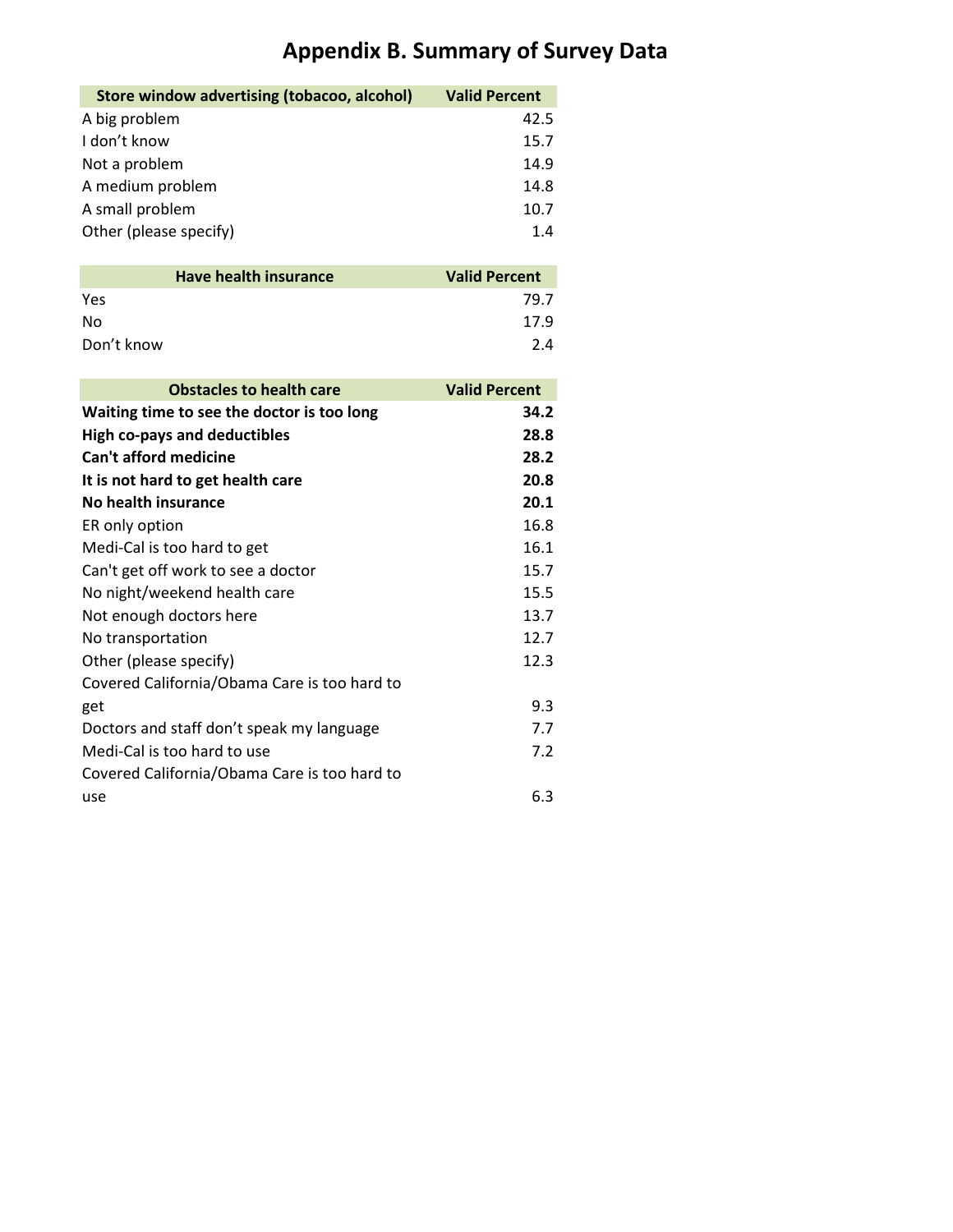| Store window advertising (tobacoo, alcohol) | <b>Valid Percent</b> |
|---------------------------------------------|----------------------|
| A big problem                               | 42.5                 |
| I don't know                                | 15.7                 |
| Not a problem                               | 14.9                 |
| A medium problem                            | 14.8                 |
| A small problem                             | 10.7                 |
| Other (please specify)                      | 1.4                  |

| Have health insurance | <b>Valid Percent</b> |
|-----------------------|----------------------|
| Yes                   | 79.7                 |
| No.                   | 17.9                 |
| Don't know            | 2.4                  |

| <b>Obstacles to health care</b>              | <b>Valid Percent</b> |
|----------------------------------------------|----------------------|
| Waiting time to see the doctor is too long   | 34.2                 |
| <b>High co-pays and deductibles</b>          | 28.8                 |
| <b>Can't afford medicine</b>                 | 28.2                 |
| It is not hard to get health care            | 20.8                 |
| No health insurance                          | 20.1                 |
| ER only option                               | 16.8                 |
| Medi-Cal is too hard to get                  | 16.1                 |
| Can't get off work to see a doctor           | 15.7                 |
| No night/weekend health care                 | 15.5                 |
| Not enough doctors here                      | 13.7                 |
| No transportation                            | 12.7                 |
| Other (please specify)                       | 12.3                 |
| Covered California/Obama Care is too hard to |                      |
| get                                          | 9.3                  |
| Doctors and staff don't speak my language    | 7.7                  |
| Medi-Cal is too hard to use                  | 7.2                  |
| Covered California/Obama Care is too hard to |                      |
| use                                          | 6.3                  |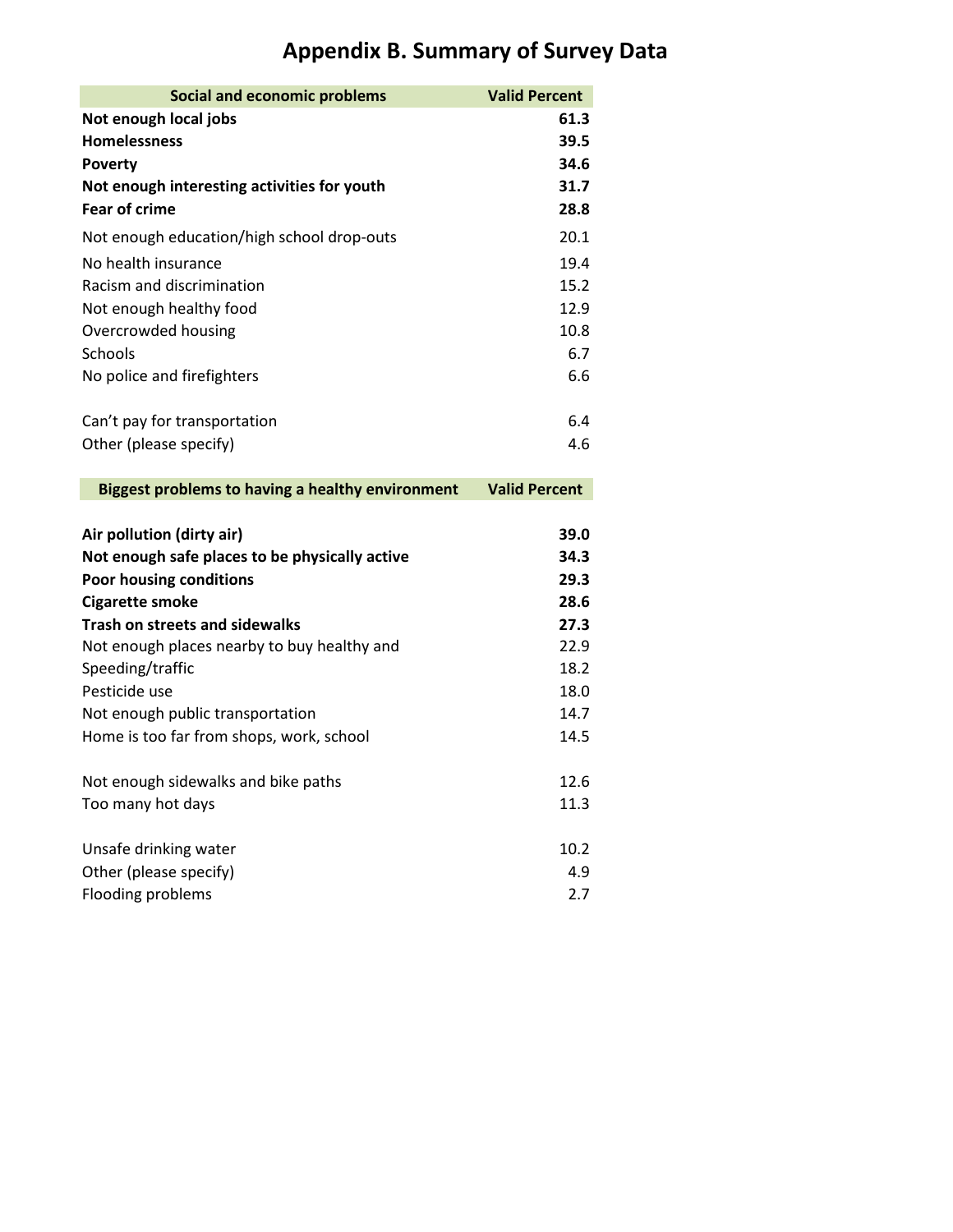| <b>Social and economic problems</b>                                          | <b>Valid Percent</b> |
|------------------------------------------------------------------------------|----------------------|
| Not enough local jobs                                                        | 61.3                 |
| <b>Homelessness</b>                                                          | 39.5                 |
| <b>Poverty</b>                                                               | 34.6                 |
| Not enough interesting activities for youth                                  | 31.7                 |
| <b>Fear of crime</b>                                                         | 28.8                 |
| Not enough education/high school drop-outs                                   | 20.1                 |
| No health insurance                                                          | 19.4                 |
| Racism and discrimination                                                    | 15.2                 |
| Not enough healthy food                                                      | 12.9                 |
| Overcrowded housing                                                          | 10.8                 |
| Schools                                                                      | 6.7                  |
| No police and firefighters                                                   | 6.6                  |
| Can't pay for transportation                                                 | 6.4                  |
| Other (please specify)                                                       | 4.6                  |
|                                                                              |                      |
| <b>Biggest problems to having a healthy environment</b>                      | <b>Valid Percent</b> |
|                                                                              |                      |
|                                                                              |                      |
| Air pollution (dirty air)                                                    | 39.0                 |
| Not enough safe places to be physically active                               | 34.3                 |
| Poor housing conditions                                                      | 29.3                 |
| <b>Cigarette smoke</b>                                                       | 28.6                 |
| <b>Trash on streets and sidewalks</b>                                        | 27.3                 |
| Not enough places nearby to buy healthy and                                  | 22.9                 |
| Speeding/traffic<br>Pesticide use                                            | 18.2                 |
|                                                                              | 18.0<br>14.7         |
| Not enough public transportation<br>Home is too far from shops, work, school | 14.5                 |
|                                                                              |                      |
| Not enough sidewalks and bike paths                                          | 12.6                 |
| Too many hot days                                                            | 11.3                 |
|                                                                              |                      |
| Unsafe drinking water                                                        | 10.2                 |
| Other (please specify)<br>Flooding problems                                  | 4.9<br>2.7           |